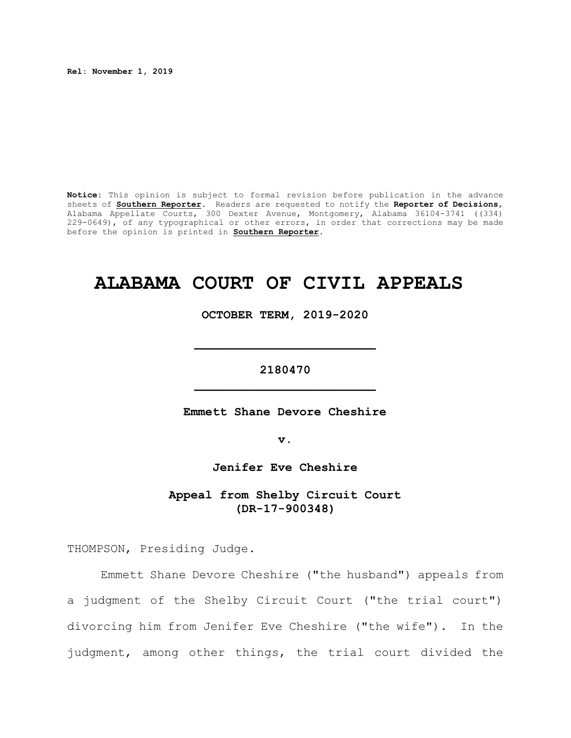**Rel: November 1, 2019**

**Notice:** This opinion is subject to formal revision before publication in the advance sheets of **Southern Reporter**. Readers are requested to notify the **Reporter of Decisions**, Alabama Appellate Courts, 300 Dexter Avenue, Montgomery, Alabama 36104-3741 ((334) 229-0649), of any typographical or other errors, in order that corrections may be made before the opinion is printed in **Southern Reporter**.

# **ALABAMA COURT OF CIVIL APPEALS**

**OCTOBER TERM, 2019-2020**

**2180470 \_\_\_\_\_\_\_\_\_\_\_\_\_\_\_\_\_\_\_\_\_\_\_\_\_**

**\_\_\_\_\_\_\_\_\_\_\_\_\_\_\_\_\_\_\_\_\_\_\_\_\_**

**Emmett Shane Devore Cheshire**

**v.**

**Jenifer Eve Cheshire**

**Appeal from Shelby Circuit Court (DR-17-900348)**

THOMPSON, Presiding Judge.

Emmett Shane Devore Cheshire ("the husband") appeals from a judgment of the Shelby Circuit Court ("the trial court") divorcing him from Jenifer Eve Cheshire ("the wife"). In the judgment, among other things, the trial court divided the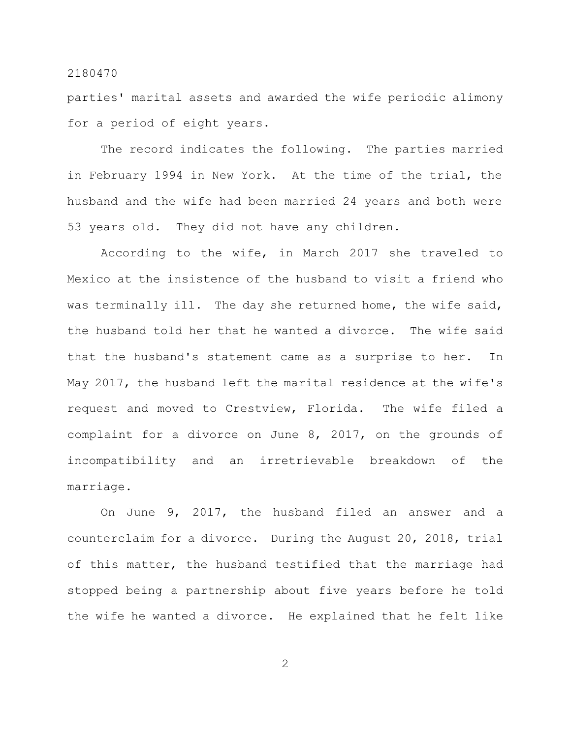parties' marital assets and awarded the wife periodic alimony for a period of eight years.

The record indicates the following. The parties married in February 1994 in New York. At the time of the trial, the husband and the wife had been married 24 years and both were 53 years old. They did not have any children.

According to the wife, in March 2017 she traveled to Mexico at the insistence of the husband to visit a friend who was terminally ill. The day she returned home, the wife said, the husband told her that he wanted a divorce. The wife said that the husband's statement came as a surprise to her. In May 2017, the husband left the marital residence at the wife's request and moved to Crestview, Florida. The wife filed a complaint for a divorce on June 8, 2017, on the grounds of incompatibility and an irretrievable breakdown of the marriage.

On June 9, 2017, the husband filed an answer and a counterclaim for a divorce. During the August 20, 2018, trial of this matter, the husband testified that the marriage had stopped being a partnership about five years before he told the wife he wanted a divorce. He explained that he felt like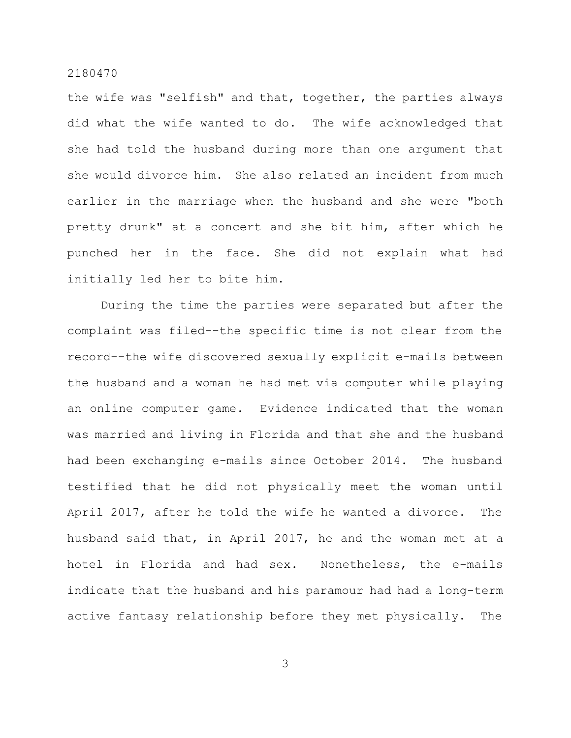the wife was "selfish" and that, together, the parties always did what the wife wanted to do. The wife acknowledged that she had told the husband during more than one argument that she would divorce him. She also related an incident from much earlier in the marriage when the husband and she were "both pretty drunk" at a concert and she bit him, after which he punched her in the face. She did not explain what had initially led her to bite him.

During the time the parties were separated but after the complaint was filed--the specific time is not clear from the record--the wife discovered sexually explicit e-mails between the husband and a woman he had met via computer while playing an online computer game. Evidence indicated that the woman was married and living in Florida and that she and the husband had been exchanging e-mails since October 2014. The husband testified that he did not physically meet the woman until April 2017, after he told the wife he wanted a divorce. The husband said that, in April 2017, he and the woman met at a hotel in Florida and had sex. Nonetheless, the e-mails indicate that the husband and his paramour had had a long-term active fantasy relationship before they met physically. The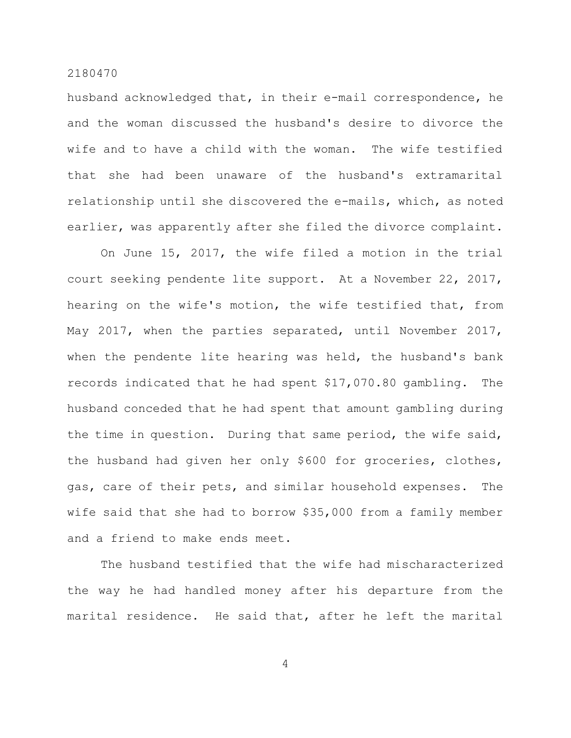husband acknowledged that, in their e-mail correspondence, he and the woman discussed the husband's desire to divorce the wife and to have a child with the woman. The wife testified that she had been unaware of the husband's extramarital relationship until she discovered the e-mails, which, as noted earlier, was apparently after she filed the divorce complaint.

On June 15, 2017, the wife filed a motion in the trial court seeking pendente lite support. At a November 22, 2017, hearing on the wife's motion, the wife testified that, from May 2017, when the parties separated, until November 2017, when the pendente lite hearing was held, the husband's bank records indicated that he had spent \$17,070.80 gambling. The husband conceded that he had spent that amount gambling during the time in question. During that same period, the wife said, the husband had given her only \$600 for groceries, clothes, gas, care of their pets, and similar household expenses. The wife said that she had to borrow \$35,000 from a family member and a friend to make ends meet.

The husband testified that the wife had mischaracterized the way he had handled money after his departure from the marital residence. He said that, after he left the marital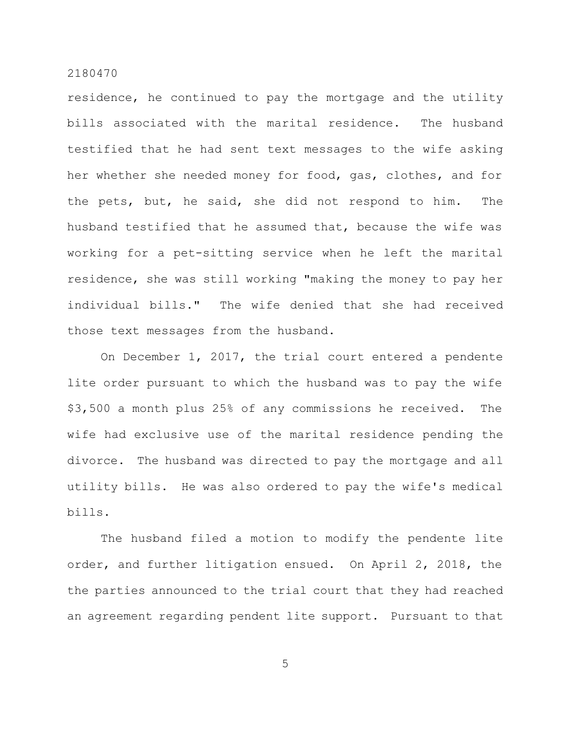residence, he continued to pay the mortgage and the utility bills associated with the marital residence. The husband testified that he had sent text messages to the wife asking her whether she needed money for food, gas, clothes, and for the pets, but, he said, she did not respond to him. The husband testified that he assumed that, because the wife was working for a pet-sitting service when he left the marital residence, she was still working "making the money to pay her individual bills." The wife denied that she had received those text messages from the husband.

On December 1, 2017, the trial court entered a pendente lite order pursuant to which the husband was to pay the wife \$3,500 a month plus 25% of any commissions he received. The wife had exclusive use of the marital residence pending the divorce. The husband was directed to pay the mortgage and all utility bills. He was also ordered to pay the wife's medical bills.

The husband filed a motion to modify the pendente lite order, and further litigation ensued. On April 2, 2018, the the parties announced to the trial court that they had reached an agreement regarding pendent lite support. Pursuant to that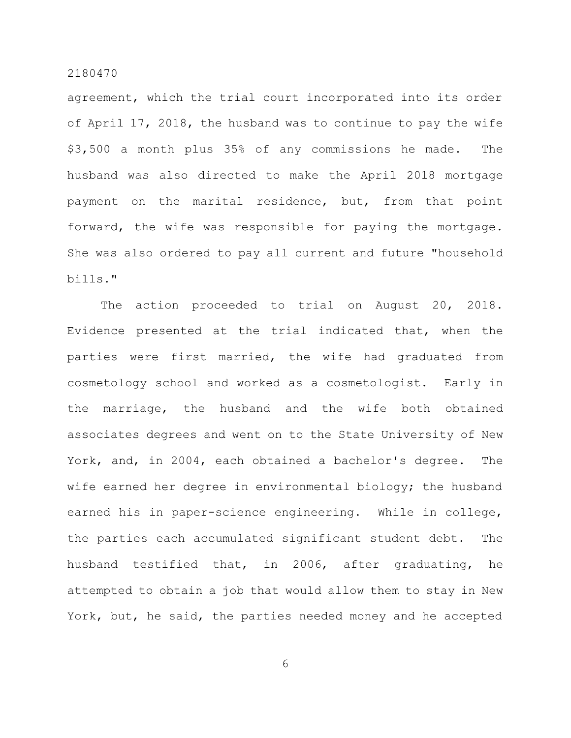agreement, which the trial court incorporated into its order of April 17, 2018, the husband was to continue to pay the wife \$3,500 a month plus 35% of any commissions he made. The husband was also directed to make the April 2018 mortgage payment on the marital residence, but, from that point forward, the wife was responsible for paying the mortgage. She was also ordered to pay all current and future "household bills."

The action proceeded to trial on August 20, 2018. Evidence presented at the trial indicated that, when the parties were first married, the wife had graduated from cosmetology school and worked as a cosmetologist. Early in the marriage, the husband and the wife both obtained associates degrees and went on to the State University of New York, and, in 2004, each obtained a bachelor's degree. The wife earned her degree in environmental biology; the husband earned his in paper-science engineering. While in college, the parties each accumulated significant student debt. The husband testified that, in 2006, after graduating, he attempted to obtain a job that would allow them to stay in New York, but, he said, the parties needed money and he accepted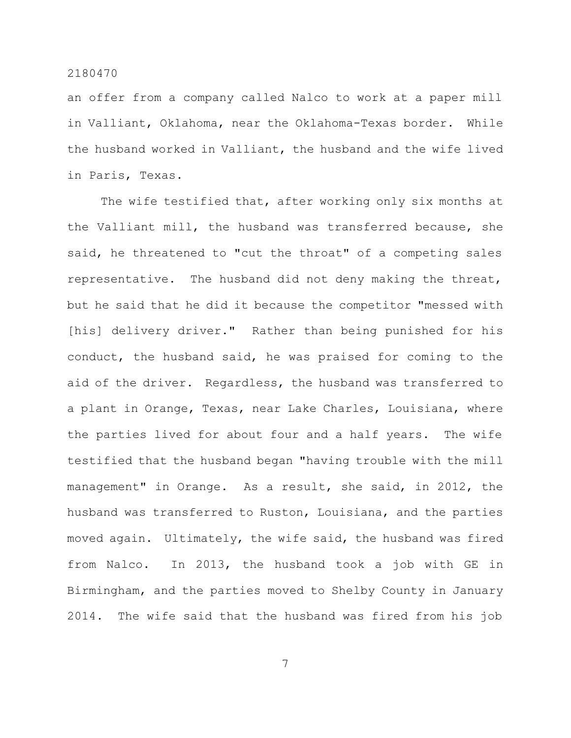an offer from a company called Nalco to work at a paper mill in Valliant, Oklahoma, near the Oklahoma-Texas border. While the husband worked in Valliant, the husband and the wife lived in Paris, Texas.

The wife testified that, after working only six months at the Valliant mill, the husband was transferred because, she said, he threatened to "cut the throat" of a competing sales representative. The husband did not deny making the threat, but he said that he did it because the competitor "messed with [his] delivery driver." Rather than being punished for his conduct, the husband said, he was praised for coming to the aid of the driver. Regardless, the husband was transferred to a plant in Orange, Texas, near Lake Charles, Louisiana, where the parties lived for about four and a half years. The wife testified that the husband began "having trouble with the mill management" in Orange. As a result, she said, in 2012, the husband was transferred to Ruston, Louisiana, and the parties moved again. Ultimately, the wife said, the husband was fired from Nalco. In 2013, the husband took a job with GE in Birmingham, and the parties moved to Shelby County in January 2014. The wife said that the husband was fired from his job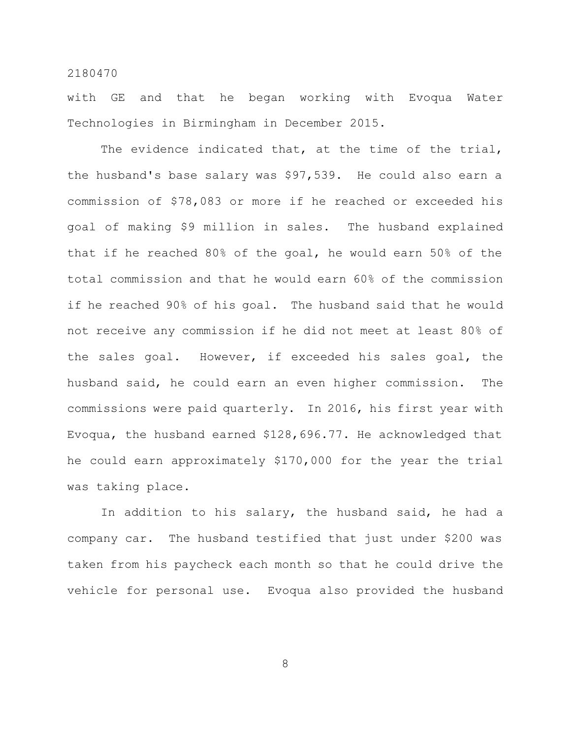with GE and that he began working with Evoqua Water Technologies in Birmingham in December 2015.

The evidence indicated that, at the time of the trial, the husband's base salary was \$97,539. He could also earn a commission of \$78,083 or more if he reached or exceeded his goal of making \$9 million in sales. The husband explained that if he reached 80% of the goal, he would earn 50% of the total commission and that he would earn 60% of the commission if he reached 90% of his goal. The husband said that he would not receive any commission if he did not meet at least 80% of the sales goal. However, if exceeded his sales goal, the husband said, he could earn an even higher commission. The commissions were paid quarterly. In 2016, his first year with Evoqua, the husband earned \$128,696.77. He acknowledged that he could earn approximately \$170,000 for the year the trial was taking place.

In addition to his salary, the husband said, he had a company car. The husband testified that just under \$200 was taken from his paycheck each month so that he could drive the vehicle for personal use. Evoqua also provided the husband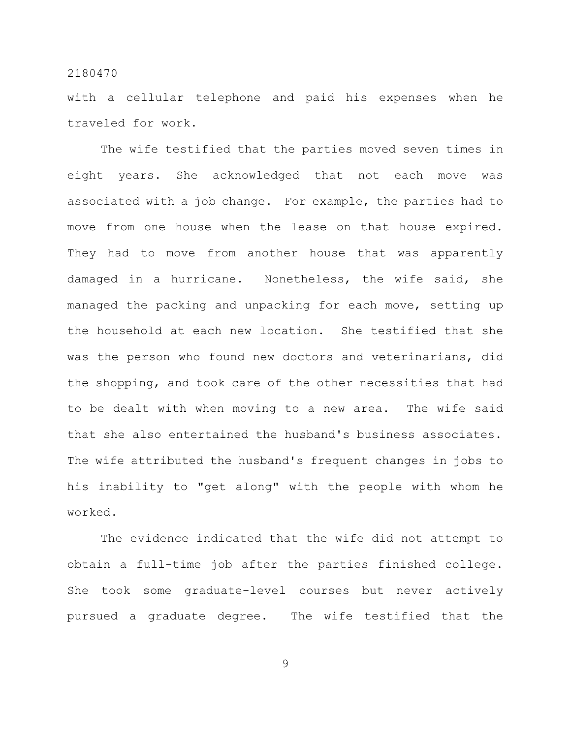with a cellular telephone and paid his expenses when he traveled for work.

The wife testified that the parties moved seven times in eight years. She acknowledged that not each move was associated with a job change. For example, the parties had to move from one house when the lease on that house expired. They had to move from another house that was apparently damaged in a hurricane. Nonetheless, the wife said, she managed the packing and unpacking for each move, setting up the household at each new location. She testified that she was the person who found new doctors and veterinarians, did the shopping, and took care of the other necessities that had to be dealt with when moving to a new area. The wife said that she also entertained the husband's business associates. The wife attributed the husband's frequent changes in jobs to his inability to "get along" with the people with whom he worked.

The evidence indicated that the wife did not attempt to obtain a full-time job after the parties finished college. She took some graduate-level courses but never actively pursued a graduate degree. The wife testified that the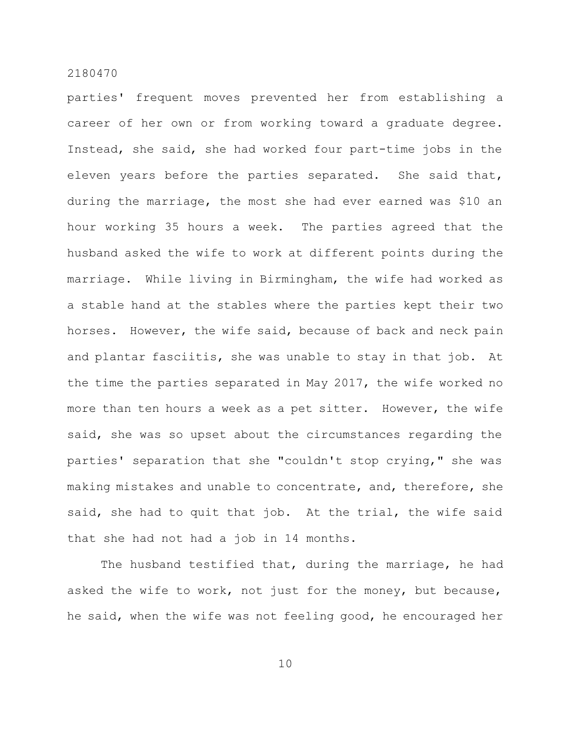parties' frequent moves prevented her from establishing a career of her own or from working toward a graduate degree. Instead, she said, she had worked four part-time jobs in the eleven years before the parties separated. She said that, during the marriage, the most she had ever earned was \$10 an hour working 35 hours a week. The parties agreed that the husband asked the wife to work at different points during the marriage. While living in Birmingham, the wife had worked as a stable hand at the stables where the parties kept their two horses. However, the wife said, because of back and neck pain and plantar fasciitis, she was unable to stay in that job. At the time the parties separated in May 2017, the wife worked no more than ten hours a week as a pet sitter. However, the wife said, she was so upset about the circumstances regarding the parties' separation that she "couldn't stop crying," she was making mistakes and unable to concentrate, and, therefore, she said, she had to quit that job. At the trial, the wife said that she had not had a job in 14 months.

The husband testified that, during the marriage, he had asked the wife to work, not just for the money, but because, he said, when the wife was not feeling good, he encouraged her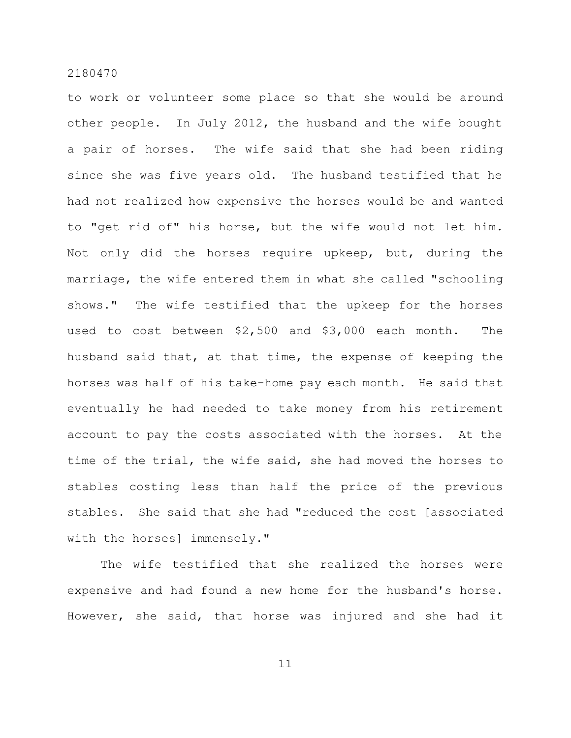to work or volunteer some place so that she would be around other people. In July 2012, the husband and the wife bought a pair of horses. The wife said that she had been riding since she was five years old. The husband testified that he had not realized how expensive the horses would be and wanted to "get rid of" his horse, but the wife would not let him. Not only did the horses require upkeep, but, during the marriage, the wife entered them in what she called "schooling shows." The wife testified that the upkeep for the horses used to cost between \$2,500 and \$3,000 each month. The husband said that, at that time, the expense of keeping the horses was half of his take-home pay each month. He said that eventually he had needed to take money from his retirement account to pay the costs associated with the horses. At the time of the trial, the wife said, she had moved the horses to stables costing less than half the price of the previous stables. She said that she had "reduced the cost [associated with the horses] immensely."

The wife testified that she realized the horses were expensive and had found a new home for the husband's horse. However, she said, that horse was injured and she had it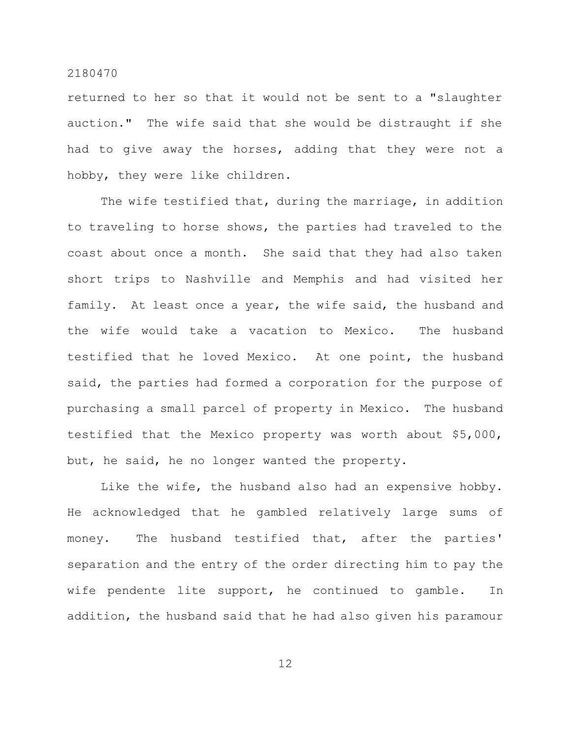returned to her so that it would not be sent to a "slaughter auction." The wife said that she would be distraught if she had to give away the horses, adding that they were not a hobby, they were like children.

The wife testified that, during the marriage, in addition to traveling to horse shows, the parties had traveled to the coast about once a month. She said that they had also taken short trips to Nashville and Memphis and had visited her family. At least once a year, the wife said, the husband and the wife would take a vacation to Mexico. The husband testified that he loved Mexico. At one point, the husband said, the parties had formed a corporation for the purpose of purchasing a small parcel of property in Mexico. The husband testified that the Mexico property was worth about \$5,000, but, he said, he no longer wanted the property.

Like the wife, the husband also had an expensive hobby. He acknowledged that he gambled relatively large sums of money. The husband testified that, after the parties' separation and the entry of the order directing him to pay the wife pendente lite support, he continued to gamble. In addition, the husband said that he had also given his paramour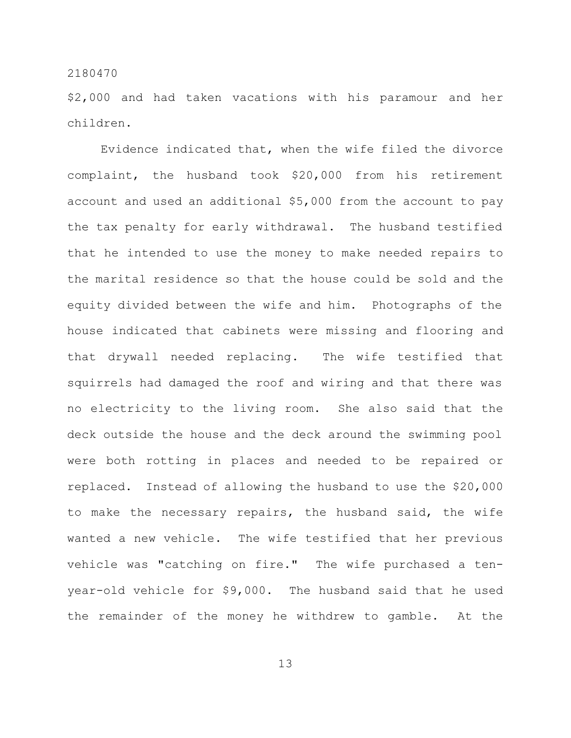\$2,000 and had taken vacations with his paramour and her children.

Evidence indicated that, when the wife filed the divorce complaint, the husband took \$20,000 from his retirement account and used an additional \$5,000 from the account to pay the tax penalty for early withdrawal. The husband testified that he intended to use the money to make needed repairs to the marital residence so that the house could be sold and the equity divided between the wife and him. Photographs of the house indicated that cabinets were missing and flooring and that drywall needed replacing. The wife testified that squirrels had damaged the roof and wiring and that there was no electricity to the living room. She also said that the deck outside the house and the deck around the swimming pool were both rotting in places and needed to be repaired or replaced. Instead of allowing the husband to use the \$20,000 to make the necessary repairs, the husband said, the wife wanted a new vehicle. The wife testified that her previous vehicle was "catching on fire." The wife purchased a tenyear-old vehicle for \$9,000. The husband said that he used the remainder of the money he withdrew to gamble. At the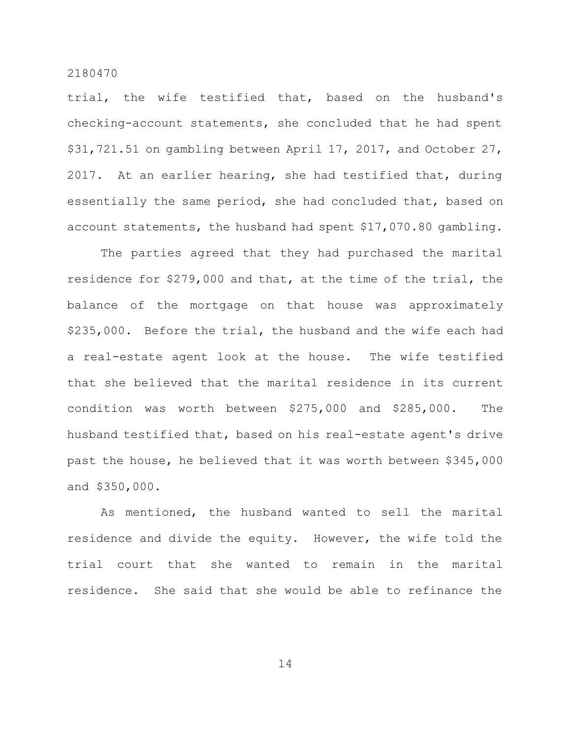trial, the wife testified that, based on the husband's checking-account statements, she concluded that he had spent \$31,721.51 on gambling between April 17, 2017, and October 27, 2017. At an earlier hearing, she had testified that, during essentially the same period, she had concluded that, based on account statements, the husband had spent \$17,070.80 gambling.

The parties agreed that they had purchased the marital residence for \$279,000 and that, at the time of the trial, the balance of the mortgage on that house was approximately \$235,000. Before the trial, the husband and the wife each had a real-estate agent look at the house. The wife testified that she believed that the marital residence in its current condition was worth between \$275,000 and \$285,000. The husband testified that, based on his real-estate agent's drive past the house, he believed that it was worth between \$345,000 and \$350,000.

As mentioned, the husband wanted to sell the marital residence and divide the equity. However, the wife told the trial court that she wanted to remain in the marital residence. She said that she would be able to refinance the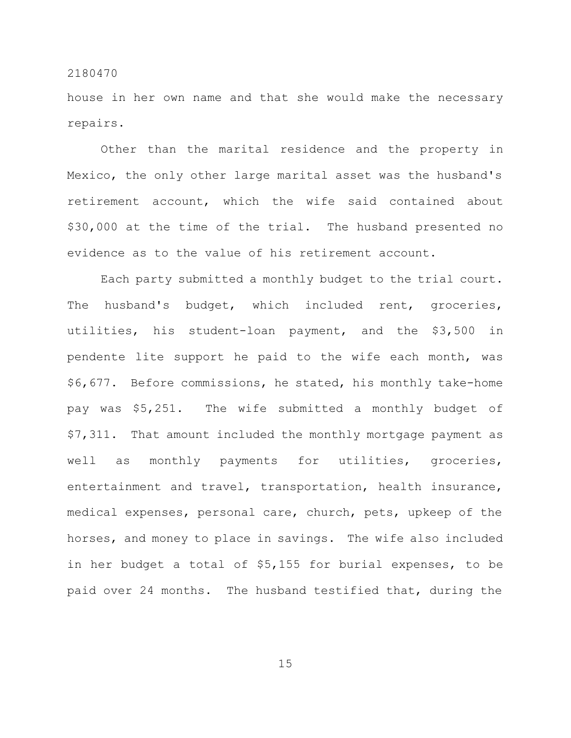house in her own name and that she would make the necessary repairs.

Other than the marital residence and the property in Mexico, the only other large marital asset was the husband's retirement account, which the wife said contained about \$30,000 at the time of the trial. The husband presented no evidence as to the value of his retirement account.

Each party submitted a monthly budget to the trial court. The husband's budget, which included rent, groceries, utilities, his student-loan payment, and the \$3,500 in pendente lite support he paid to the wife each month, was \$6,677. Before commissions, he stated, his monthly take-home pay was \$5,251. The wife submitted a monthly budget of \$7,311. That amount included the monthly mortgage payment as well as monthly payments for utilities, groceries, entertainment and travel, transportation, health insurance, medical expenses, personal care, church, pets, upkeep of the horses, and money to place in savings. The wife also included in her budget a total of \$5,155 for burial expenses, to be paid over 24 months. The husband testified that, during the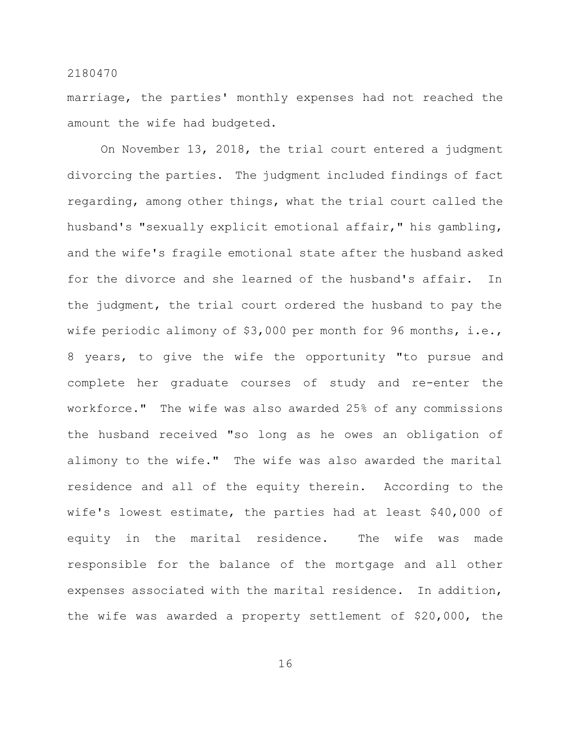marriage, the parties' monthly expenses had not reached the amount the wife had budgeted.

On November 13, 2018, the trial court entered a judgment divorcing the parties. The judgment included findings of fact regarding, among other things, what the trial court called the husband's "sexually explicit emotional affair," his gambling, and the wife's fragile emotional state after the husband asked for the divorce and she learned of the husband's affair. In the judgment, the trial court ordered the husband to pay the wife periodic alimony of \$3,000 per month for 96 months, i.e., 8 years, to give the wife the opportunity "to pursue and complete her graduate courses of study and re-enter the workforce." The wife was also awarded 25% of any commissions the husband received "so long as he owes an obligation of alimony to the wife." The wife was also awarded the marital residence and all of the equity therein. According to the wife's lowest estimate, the parties had at least \$40,000 of equity in the marital residence. The wife was made responsible for the balance of the mortgage and all other expenses associated with the marital residence. In addition, the wife was awarded a property settlement of \$20,000, the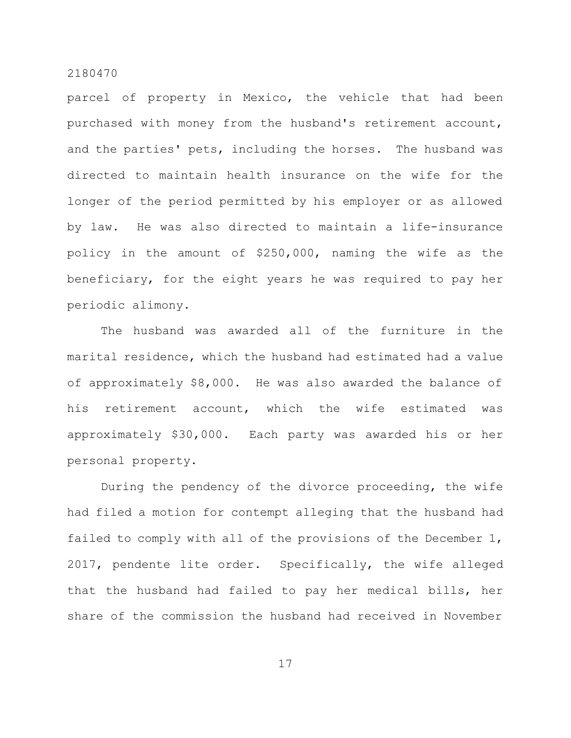parcel of property in Mexico, the vehicle that had been purchased with money from the husband's retirement account, and the parties' pets, including the horses. The husband was directed to maintain health insurance on the wife for the longer of the period permitted by his employer or as allowed by law. He was also directed to maintain a life-insurance policy in the amount of \$250,000, naming the wife as the beneficiary, for the eight years he was required to pay her periodic alimony.

The husband was awarded all of the furniture in the marital residence, which the husband had estimated had a value of approximately \$8,000. He was also awarded the balance of his retirement account, which the wife estimated was approximately \$30,000. Each party was awarded his or her personal property.

During the pendency of the divorce proceeding, the wife had filed a motion for contempt alleging that the husband had failed to comply with all of the provisions of the December 1, 2017, pendente lite order. Specifically, the wife alleged that the husband had failed to pay her medical bills, her share of the commission the husband had received in November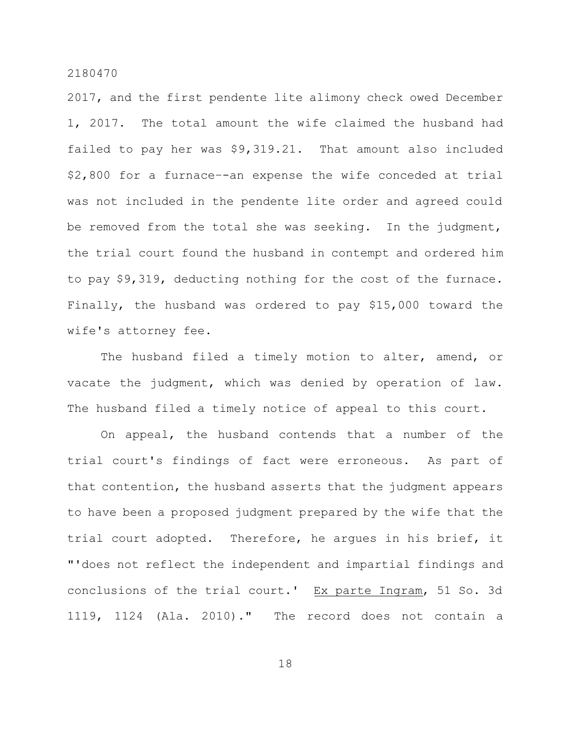2017, and the first pendente lite alimony check owed December 1, 2017. The total amount the wife claimed the husband had failed to pay her was \$9,319.21. That amount also included \$2,800 for a furnace–-an expense the wife conceded at trial was not included in the pendente lite order and agreed could be removed from the total she was seeking. In the judgment, the trial court found the husband in contempt and ordered him to pay \$9,319, deducting nothing for the cost of the furnace. Finally, the husband was ordered to pay \$15,000 toward the wife's attorney fee.

The husband filed a timely motion to alter, amend, or vacate the judgment, which was denied by operation of law. The husband filed a timely notice of appeal to this court.

On appeal, the husband contends that a number of the trial court's findings of fact were erroneous. As part of that contention, the husband asserts that the judgment appears to have been a proposed judgment prepared by the wife that the trial court adopted. Therefore, he argues in his brief, it "'does not reflect the independent and impartial findings and conclusions of the trial court.' Ex parte Ingram, 51 So. 3d 1119, 1124 (Ala. 2010)." The record does not contain a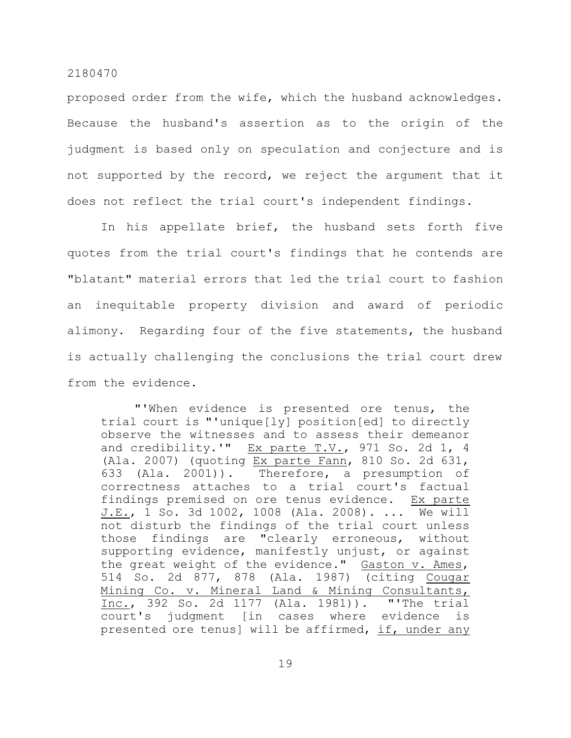proposed order from the wife, which the husband acknowledges. Because the husband's assertion as to the origin of the judgment is based only on speculation and conjecture and is not supported by the record, we reject the argument that it does not reflect the trial court's independent findings.

In his appellate brief, the husband sets forth five quotes from the trial court's findings that he contends are "blatant" material errors that led the trial court to fashion an inequitable property division and award of periodic alimony. Regarding four of the five statements, the husband is actually challenging the conclusions the trial court drew from the evidence.

"'When evidence is presented ore tenus, the trial court is "'unique[ly] position[ed] to directly observe the witnesses and to assess their demeanor and credibility.'"  $EX$  parte T.V., 971 So. 2d 1, 4 (Ala. 2007) (quoting Ex parte Fann, 810 So. 2d 631, 633 (Ala. 2001)). Therefore, a presumption of correctness attaches to a trial court's factual findings premised on ore tenus evidence. Ex parte J.E., 1 So. 3d 1002, 1008 (Ala. 2008). ... We will not disturb the findings of the trial court unless those findings are "clearly erroneous, without supporting evidence, manifestly unjust, or against the great weight of the evidence." Gaston v. Ames, 514 So. 2d 877, 878 (Ala. 1987) (citing Cougar Mining Co. v. Mineral Land & Mining Consultants, Inc., 392 So. 2d 1177 (Ala. 1981)). "'The trial court's judgment [in cases where evidence is presented ore tenus] will be affirmed, if, under any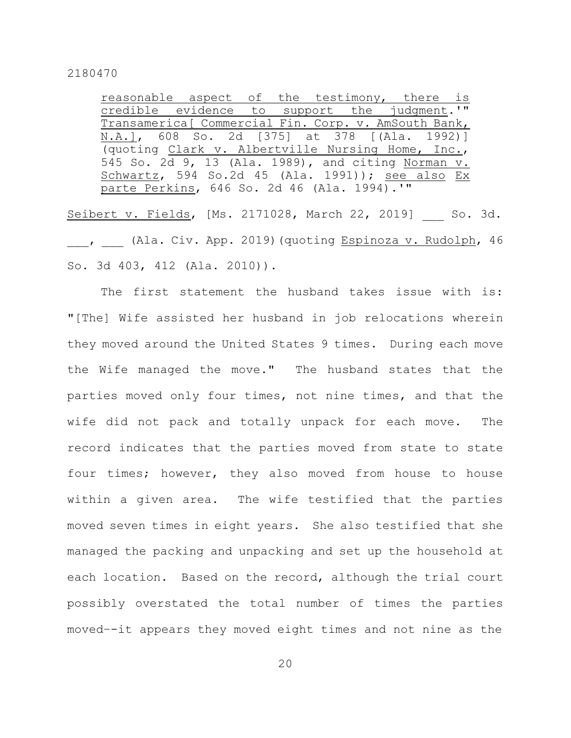reasonable aspect of the testimony, there is credible evidence to support the judgment.'" Transamerica[ Commercial Fin. Corp. v. AmSouth Bank, N.A.], 608 So. 2d [375] at 378 [(Ala. 1992)] (quoting Clark v. Albertville Nursing Home, Inc., 545 So. 2d 9, 13 (Ala. 1989), and citing Norman v. Schwartz, 594 So.2d 45 (Ala. 1991)); see also Ex parte Perkins, 646 So. 2d 46 (Ala. 1994).'"

Seibert v. Fields, [Ms. 2171028, March 22, 2019] So. 3d. , (Ala. Civ. App. 2019)(quoting Espinoza v. Rudolph, 46 So. 3d 403, 412 (Ala. 2010)).

The first statement the husband takes issue with is: "[The] Wife assisted her husband in job relocations wherein they moved around the United States 9 times. During each move the Wife managed the move." The husband states that the parties moved only four times, not nine times, and that the wife did not pack and totally unpack for each move. The record indicates that the parties moved from state to state four times; however, they also moved from house to house within a given area. The wife testified that the parties moved seven times in eight years. She also testified that she managed the packing and unpacking and set up the household at each location. Based on the record, although the trial court possibly overstated the total number of times the parties moved–-it appears they moved eight times and not nine as the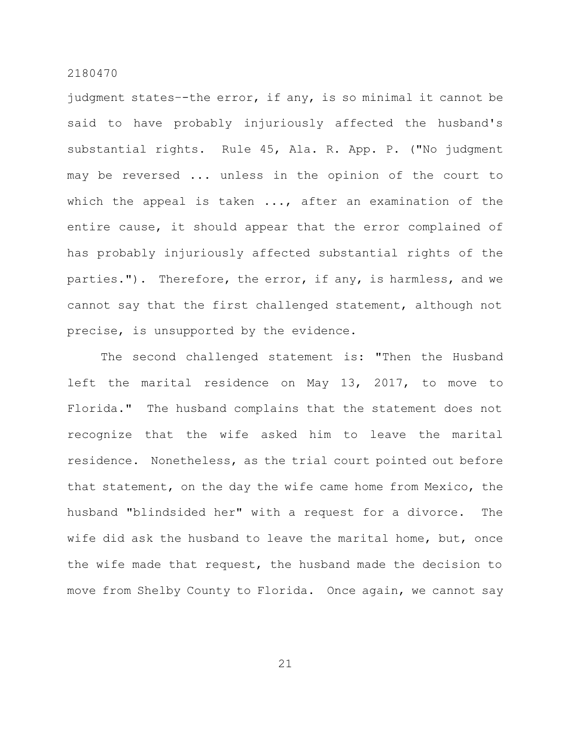judgment states–-the error, if any, is so minimal it cannot be said to have probably injuriously affected the husband's substantial rights. Rule 45, Ala. R. App. P. ("No judgment may be reversed ... unless in the opinion of the court to which the appeal is taken ..., after an examination of the entire cause, it should appear that the error complained of has probably injuriously affected substantial rights of the parties."). Therefore, the error, if any, is harmless, and we cannot say that the first challenged statement, although not precise, is unsupported by the evidence.

The second challenged statement is: "Then the Husband left the marital residence on May 13, 2017, to move to Florida." The husband complains that the statement does not recognize that the wife asked him to leave the marital residence. Nonetheless, as the trial court pointed out before that statement, on the day the wife came home from Mexico, the husband "blindsided her" with a request for a divorce. The wife did ask the husband to leave the marital home, but, once the wife made that request, the husband made the decision to move from Shelby County to Florida. Once again, we cannot say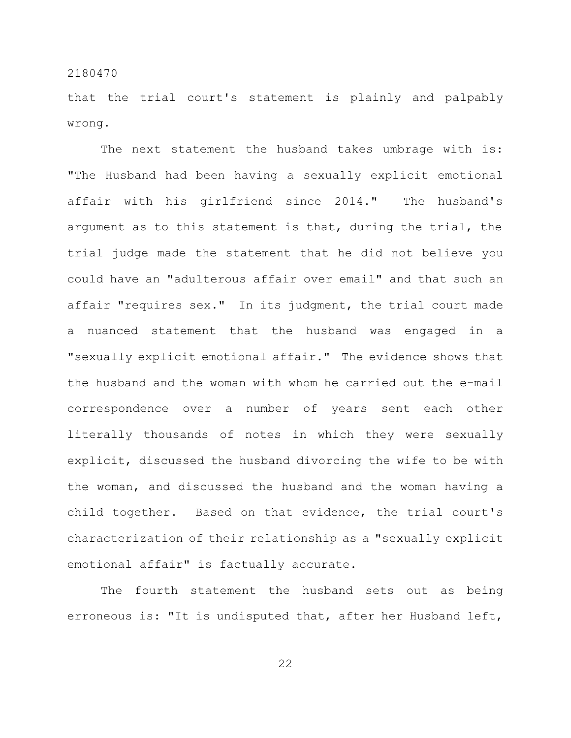that the trial court's statement is plainly and palpably wrong.

The next statement the husband takes umbrage with is: "The Husband had been having a sexually explicit emotional affair with his girlfriend since 2014." The husband's argument as to this statement is that, during the trial, the trial judge made the statement that he did not believe you could have an "adulterous affair over email" and that such an affair "requires sex." In its judgment, the trial court made a nuanced statement that the husband was engaged in a "sexually explicit emotional affair." The evidence shows that the husband and the woman with whom he carried out the e-mail correspondence over a number of years sent each other literally thousands of notes in which they were sexually explicit, discussed the husband divorcing the wife to be with the woman, and discussed the husband and the woman having a child together. Based on that evidence, the trial court's characterization of their relationship as a "sexually explicit emotional affair" is factually accurate.

The fourth statement the husband sets out as being erroneous is: "It is undisputed that, after her Husband left,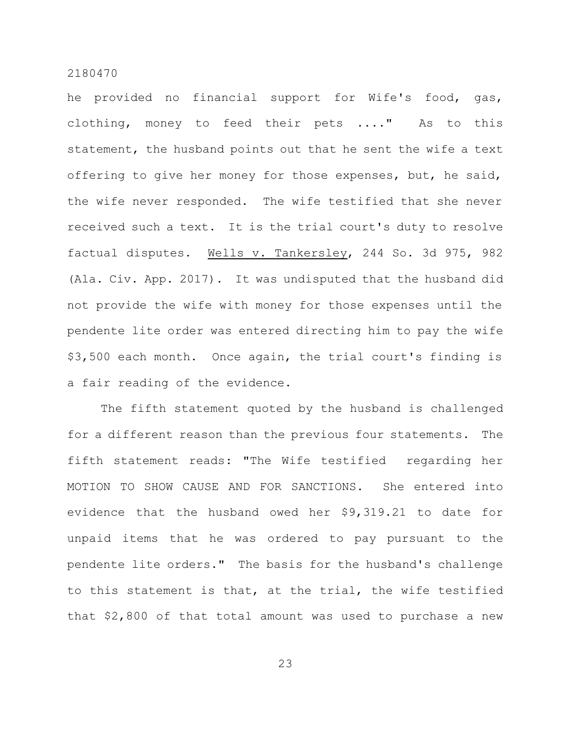he provided no financial support for Wife's food, gas, clothing, money to feed their pets ...." As to this statement, the husband points out that he sent the wife a text offering to give her money for those expenses, but, he said, the wife never responded. The wife testified that she never received such a text. It is the trial court's duty to resolve factual disputes. Wells v. Tankersley, 244 So. 3d 975, 982 (Ala. Civ. App. 2017). It was undisputed that the husband did not provide the wife with money for those expenses until the pendente lite order was entered directing him to pay the wife \$3,500 each month. Once again, the trial court's finding is a fair reading of the evidence.

The fifth statement quoted by the husband is challenged for a different reason than the previous four statements. The fifth statement reads: "The Wife testified regarding her MOTION TO SHOW CAUSE AND FOR SANCTIONS. She entered into evidence that the husband owed her \$9,319.21 to date for unpaid items that he was ordered to pay pursuant to the pendente lite orders." The basis for the husband's challenge to this statement is that, at the trial, the wife testified that \$2,800 of that total amount was used to purchase a new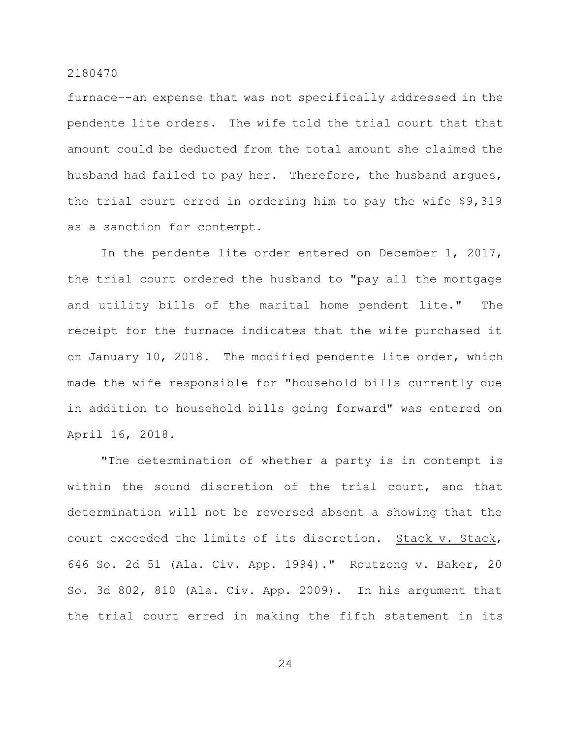furnace–-an expense that was not specifically addressed in the pendente lite orders. The wife told the trial court that that amount could be deducted from the total amount she claimed the husband had failed to pay her. Therefore, the husband argues, the trial court erred in ordering him to pay the wife \$9,319 as a sanction for contempt.

In the pendente lite order entered on December 1, 2017, the trial court ordered the husband to "pay all the mortgage and utility bills of the marital home pendent lite." The receipt for the furnace indicates that the wife purchased it on January 10, 2018. The modified pendente lite order, which made the wife responsible for "household bills currently due in addition to household bills going forward" was entered on April 16, 2018.

"The determination of whether a party is in contempt is within the sound discretion of the trial court, and that determination will not be reversed absent a showing that the court exceeded the limits of its discretion. Stack v. Stack, 646 So. 2d 51 (Ala. Civ. App. 1994)." Routzong v. Baker, 20 So. 3d 802, 810 (Ala. Civ. App. 2009). In his argument that the trial court erred in making the fifth statement in its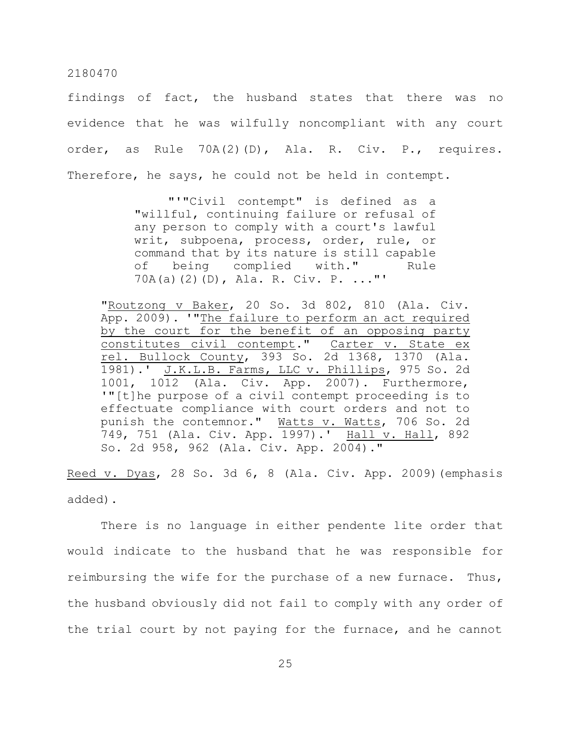findings of fact, the husband states that there was no evidence that he was wilfully noncompliant with any court order, as Rule 70A(2)(D), Ala. R. Civ. P., requires. Therefore, he says, he could not be held in contempt.

> "'"Civil contempt" is defined as a "willful, continuing failure or refusal of any person to comply with a court's lawful writ, subpoena, process, order, rule, or command that by its nature is still capable of being complied with." Rule 70A(a)(2)(D), Ala. R. Civ. P. ..."'

"Routzong v Baker, 20 So. 3d 802, 810 (Ala. Civ. App. 2009). '"The failure to perform an act required by the court for the benefit of an opposing party constitutes civil contempt." Carter v. State ex rel. Bullock County, 393 So. 2d 1368, 1370 (Ala. 1981).' J.K.L.B. Farms, LLC v. Phillips, 975 So. 2d 1001, 1012 (Ala. Civ. App. 2007). Furthermore, '"[t]he purpose of a civil contempt proceeding is to effectuate compliance with court orders and not to punish the contemnor." Watts v. Watts, 706 So. 2d 749, 751 (Ala. Civ. App. 1997).' Hall v. Hall, 892 So. 2d 958, 962 (Ala. Civ. App. 2004)."

Reed v. Dyas, 28 So. 3d 6, 8 (Ala. Civ. App. 2009) (emphasis added).

There is no language in either pendente lite order that would indicate to the husband that he was responsible for reimbursing the wife for the purchase of a new furnace. Thus, the husband obviously did not fail to comply with any order of the trial court by not paying for the furnace, and he cannot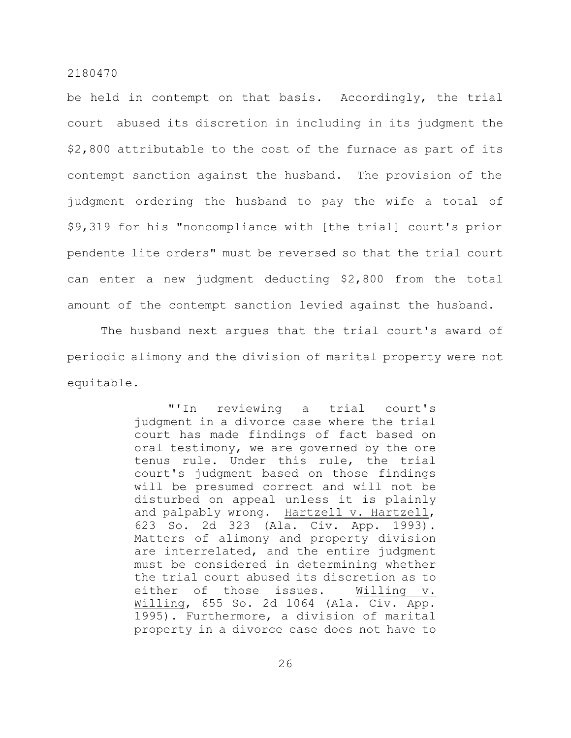be held in contempt on that basis. Accordingly, the trial court abused its discretion in including in its judgment the \$2,800 attributable to the cost of the furnace as part of its contempt sanction against the husband. The provision of the judgment ordering the husband to pay the wife a total of \$9,319 for his "noncompliance with [the trial] court's prior pendente lite orders" must be reversed so that the trial court can enter a new judgment deducting \$2,800 from the total amount of the contempt sanction levied against the husband.

The husband next argues that the trial court's award of periodic alimony and the division of marital property were not equitable.

> "'In reviewing a trial court's judgment in a divorce case where the trial court has made findings of fact based on oral testimony, we are governed by the ore tenus rule. Under this rule, the trial court's judgment based on those findings will be presumed correct and will not be disturbed on appeal unless it is plainly and palpably wrong. Hartzell v. Hartzell, 623 So. 2d 323 (Ala. Civ. App. 1993). Matters of alimony and property division are interrelated, and the entire judgment must be considered in determining whether the trial court abused its discretion as to either of those issues. Willing v. Willing, 655 So. 2d 1064 (Ala. Civ. App. 1995). Furthermore, a division of marital property in a divorce case does not have to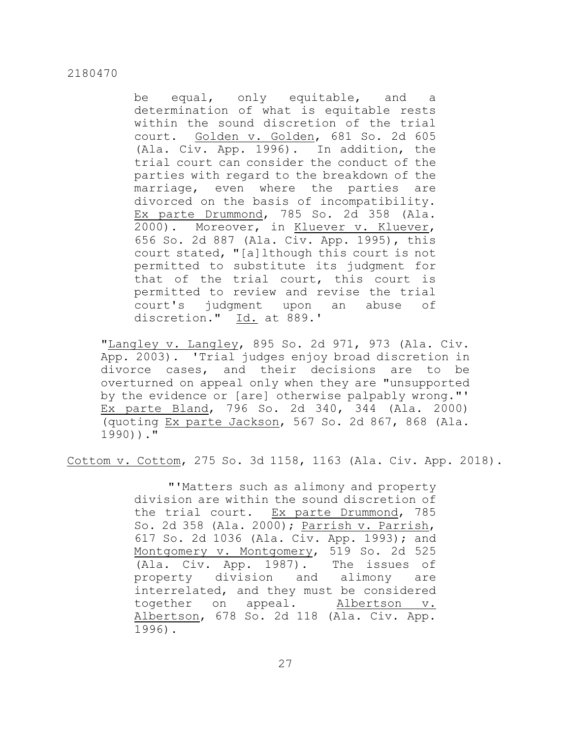be equal, only equitable, and a determination of what is equitable rests within the sound discretion of the trial court. Golden v. Golden, 681 So. 2d 605 (Ala. Civ. App. 1996). In addition, the trial court can consider the conduct of the parties with regard to the breakdown of the marriage, even where the parties are divorced on the basis of incompatibility. Ex parte Drummond, 785 So. 2d 358 (Ala. 2000). Moreover, in Kluever v. Kluever, 656 So. 2d 887 (Ala. Civ. App. 1995), this court stated, "[a]lthough this court is not permitted to substitute its judgment for that of the trial court, this court is permitted to review and revise the trial court's judgment upon an abuse of discretion." Id. at 889.'

"Langley v. Langley, 895 So. 2d 971, 973 (Ala. Civ. App. 2003). 'Trial judges enjoy broad discretion in divorce cases, and their decisions are to be overturned on appeal only when they are "unsupported by the evidence or [are] otherwise palpably wrong."' Ex parte Bland, 796 So. 2d 340, 344 (Ala. 2000) (quoting Ex parte Jackson, 567 So. 2d 867, 868 (Ala. 1990))."

Cottom v. Cottom, 275 So. 3d 1158, 1163 (Ala. Civ. App. 2018).

"'Matters such as alimony and property division are within the sound discretion of the trial court. Ex parte Drummond, 785 So. 2d 358 (Ala. 2000); Parrish v. Parrish, 617 So. 2d 1036 (Ala. Civ. App. 1993); and Montgomery v. Montgomery, 519 So. 2d 525 (Ala. Civ. App. 1987). The issues of property division and alimony are interrelated, and they must be considered together on appeal. Albertson v. Albertson, 678 So. 2d 118 (Ala. Civ. App. 1996).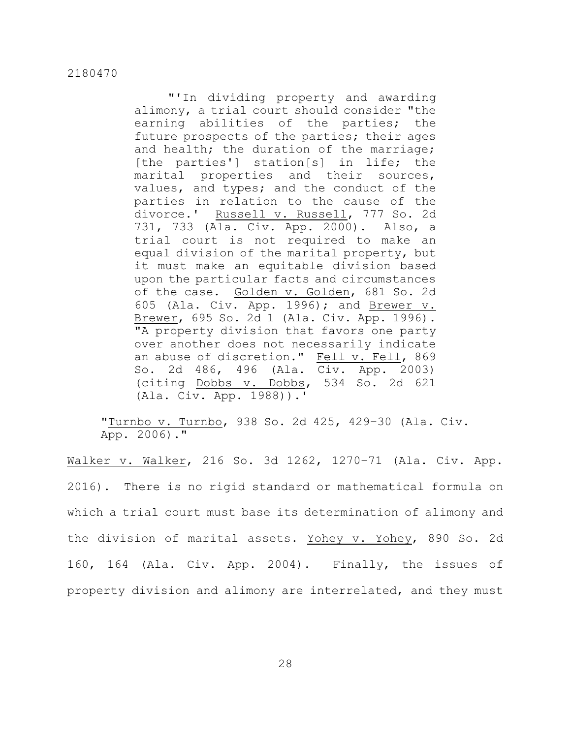"'In dividing property and awarding alimony, a trial court should consider "the earning abilities of the parties; the future prospects of the parties; their ages and health; the duration of the marriage; [the parties'] station[s] in life; the marital properties and their sources, values, and types; and the conduct of the parties in relation to the cause of the divorce.' Russell v. Russell, 777 So. 2d 731, 733 (Ala. Civ. App. 2000). Also, a trial court is not required to make an equal division of the marital property, but it must make an equitable division based upon the particular facts and circumstances of the case. Golden v. Golden, 681 So. 2d 605 (Ala. Civ. App. 1996); and Brewer v. Brewer, 695 So. 2d 1 (Ala. Civ. App. 1996). "A property division that favors one party over another does not necessarily indicate an abuse of discretion." Fell v. Fell, 869 So. 2d 486, 496 (Ala. Civ. App. 2003) (citing Dobbs v. Dobbs, 534 So. 2d 621 (Ala. Civ. App. 1988)).'

"Turnbo v. Turnbo, 938 So. 2d 425, 429–30 (Ala. Civ. App. 2006)."

Walker v. Walker, 216 So. 3d 1262, 1270–71 (Ala. Civ. App. 2016). There is no rigid standard or mathematical formula on which a trial court must base its determination of alimony and the division of marital assets. Yohey v. Yohey, 890 So. 2d 160, 164 (Ala. Civ. App. 2004). Finally, the issues of property division and alimony are interrelated, and they must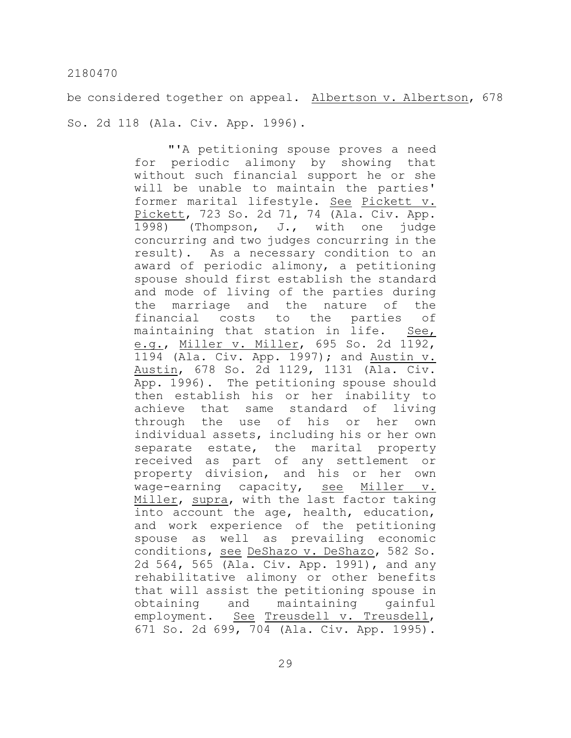be considered together on appeal. Albertson v. Albertson, 678 So. 2d 118 (Ala. Civ. App. 1996).

> "'A petitioning spouse proves a need for periodic alimony by showing that without such financial support he or she will be unable to maintain the parties' former marital lifestyle. See Pickett v. Pickett, 723 So. 2d 71, 74 (Ala. Civ. App. 1998) (Thompson, J., with one judge concurring and two judges concurring in the result). As a necessary condition to an award of periodic alimony, a petitioning spouse should first establish the standard and mode of living of the parties during the marriage and the nature of the financial costs to the parties of maintaining that station in life. See, e.g., Miller v. Miller, 695 So. 2d 1192, 1194 (Ala. Civ. App. 1997); and Austin v. Austin, 678 So. 2d 1129, 1131 (Ala. Civ. App. 1996). The petitioning spouse should then establish his or her inability to achieve that same standard of living through the use of his or her own individual assets, including his or her own separate estate, the marital property received as part of any settlement or property division, and his or her own wage-earning capacity, see Miller v. Miller, supra, with the last factor taking into account the age, health, education, and work experience of the petitioning spouse as well as prevailing economic conditions, see DeShazo v. DeShazo, 582 So. 2d 564, 565 (Ala. Civ. App. 1991), and any rehabilitative alimony or other benefits that will assist the petitioning spouse in obtaining and maintaining gainful employment. See Treusdell v. Treusdell, 671 So. 2d 699, 704 (Ala. Civ. App. 1995).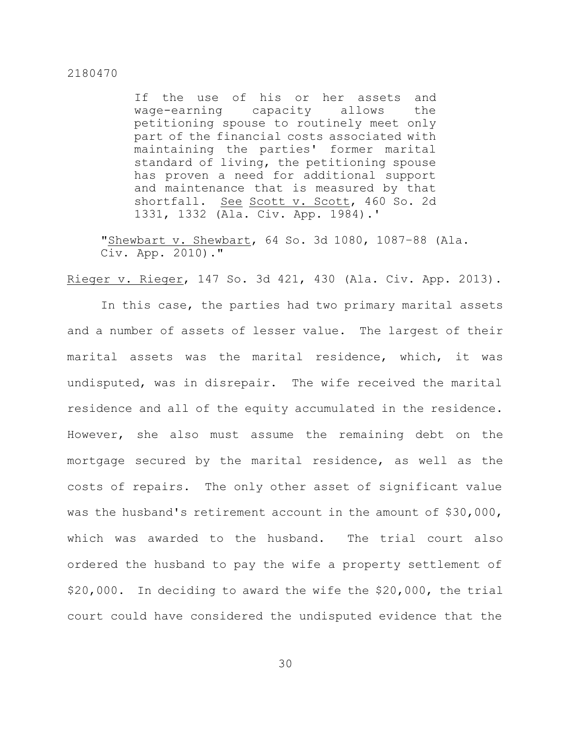If the use of his or her assets and wage-earning capacity allows the petitioning spouse to routinely meet only part of the financial costs associated with maintaining the parties' former marital standard of living, the petitioning spouse has proven a need for additional support and maintenance that is measured by that shortfall. See Scott v. Scott, 460 So. 2d 1331, 1332 (Ala. Civ. App. 1984).'

"Shewbart v. Shewbart, 64 So. 3d 1080, 1087–88 (Ala. Civ. App. 2010)."

Rieger v. Rieger, 147 So. 3d 421, 430 (Ala. Civ. App. 2013).

In this case, the parties had two primary marital assets and a number of assets of lesser value. The largest of their marital assets was the marital residence, which, it was undisputed, was in disrepair. The wife received the marital residence and all of the equity accumulated in the residence. However, she also must assume the remaining debt on the mortgage secured by the marital residence, as well as the costs of repairs. The only other asset of significant value was the husband's retirement account in the amount of \$30,000, which was awarded to the husband. The trial court also ordered the husband to pay the wife a property settlement of \$20,000. In deciding to award the wife the \$20,000, the trial court could have considered the undisputed evidence that the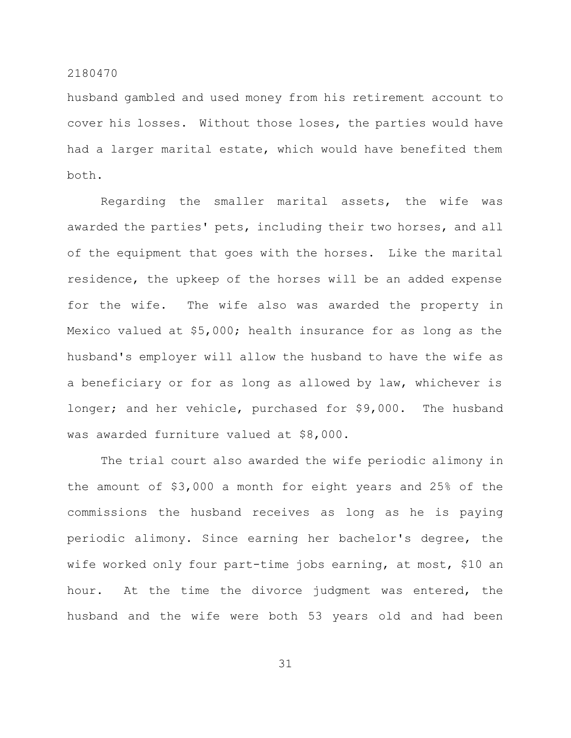husband gambled and used money from his retirement account to cover his losses. Without those loses, the parties would have had a larger marital estate, which would have benefited them both.

Regarding the smaller marital assets, the wife was awarded the parties' pets, including their two horses, and all of the equipment that goes with the horses. Like the marital residence, the upkeep of the horses will be an added expense for the wife. The wife also was awarded the property in Mexico valued at \$5,000; health insurance for as long as the husband's employer will allow the husband to have the wife as a beneficiary or for as long as allowed by law, whichever is longer; and her vehicle, purchased for \$9,000. The husband was awarded furniture valued at \$8,000.

The trial court also awarded the wife periodic alimony in the amount of \$3,000 a month for eight years and 25% of the commissions the husband receives as long as he is paying periodic alimony. Since earning her bachelor's degree, the wife worked only four part-time jobs earning, at most, \$10 an hour. At the time the divorce judgment was entered, the husband and the wife were both 53 years old and had been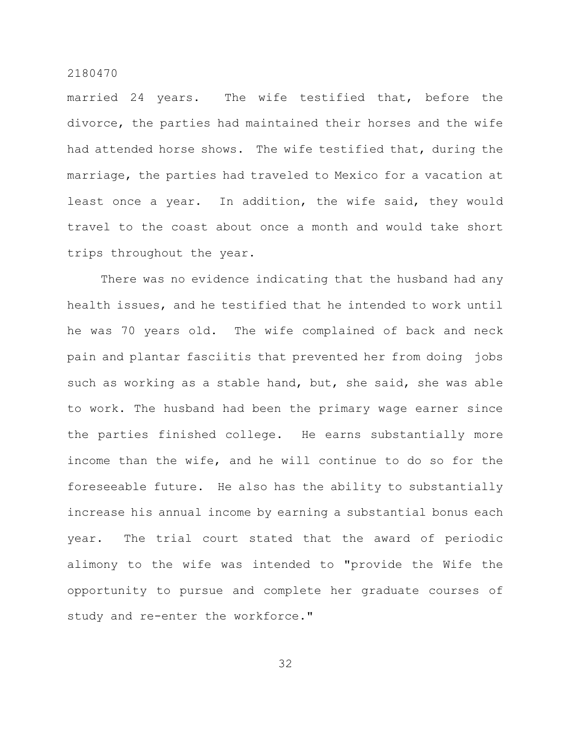married 24 years. The wife testified that, before the divorce, the parties had maintained their horses and the wife had attended horse shows. The wife testified that, during the marriage, the parties had traveled to Mexico for a vacation at least once a year. In addition, the wife said, they would travel to the coast about once a month and would take short trips throughout the year.

There was no evidence indicating that the husband had any health issues, and he testified that he intended to work until he was 70 years old. The wife complained of back and neck pain and plantar fasciitis that prevented her from doing jobs such as working as a stable hand, but, she said, she was able to work. The husband had been the primary wage earner since the parties finished college. He earns substantially more income than the wife, and he will continue to do so for the foreseeable future. He also has the ability to substantially increase his annual income by earning a substantial bonus each year. The trial court stated that the award of periodic alimony to the wife was intended to "provide the Wife the opportunity to pursue and complete her graduate courses of study and re-enter the workforce."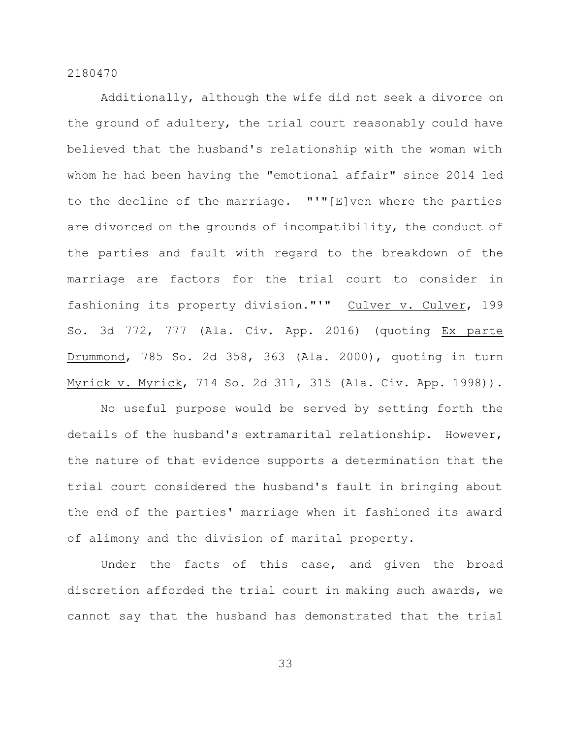Additionally, although the wife did not seek a divorce on the ground of adultery, the trial court reasonably could have believed that the husband's relationship with the woman with whom he had been having the "emotional affair" since 2014 led to the decline of the marriage. "'"[E]ven where the parties are divorced on the grounds of incompatibility, the conduct of the parties and fault with regard to the breakdown of the marriage are factors for the trial court to consider in fashioning its property division."'" Culver v. Culver, 199 So. 3d 772, 777 (Ala. Civ. App. 2016) (quoting Ex parte Drummond, 785 So. 2d 358, 363 (Ala. 2000), quoting in turn Myrick v. Myrick, 714 So. 2d 311, 315 (Ala. Civ. App. 1998)).

No useful purpose would be served by setting forth the details of the husband's extramarital relationship. However, the nature of that evidence supports a determination that the trial court considered the husband's fault in bringing about the end of the parties' marriage when it fashioned its award of alimony and the division of marital property.

Under the facts of this case, and given the broad discretion afforded the trial court in making such awards, we cannot say that the husband has demonstrated that the trial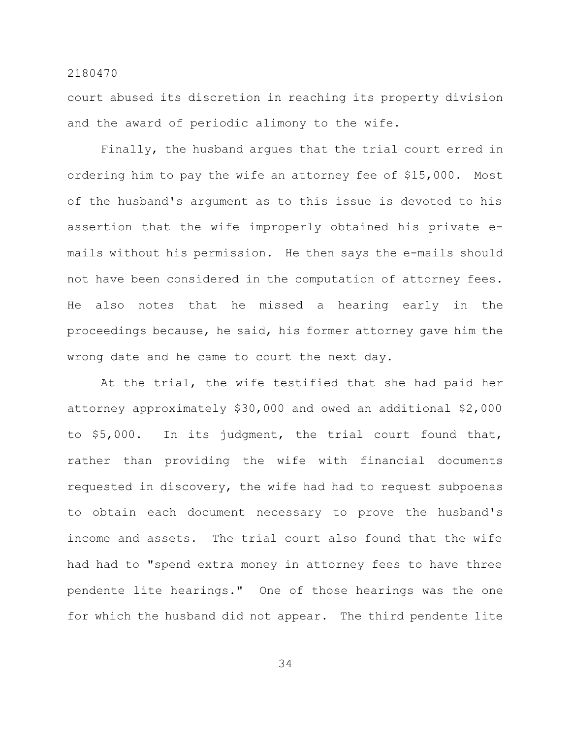court abused its discretion in reaching its property division and the award of periodic alimony to the wife.

Finally, the husband argues that the trial court erred in ordering him to pay the wife an attorney fee of \$15,000. Most of the husband's argument as to this issue is devoted to his assertion that the wife improperly obtained his private emails without his permission. He then says the e-mails should not have been considered in the computation of attorney fees. He also notes that he missed a hearing early in the proceedings because, he said, his former attorney gave him the wrong date and he came to court the next day.

At the trial, the wife testified that she had paid her attorney approximately \$30,000 and owed an additional \$2,000 to \$5,000. In its judgment, the trial court found that, rather than providing the wife with financial documents requested in discovery, the wife had had to request subpoenas to obtain each document necessary to prove the husband's income and assets. The trial court also found that the wife had had to "spend extra money in attorney fees to have three pendente lite hearings." One of those hearings was the one for which the husband did not appear. The third pendente lite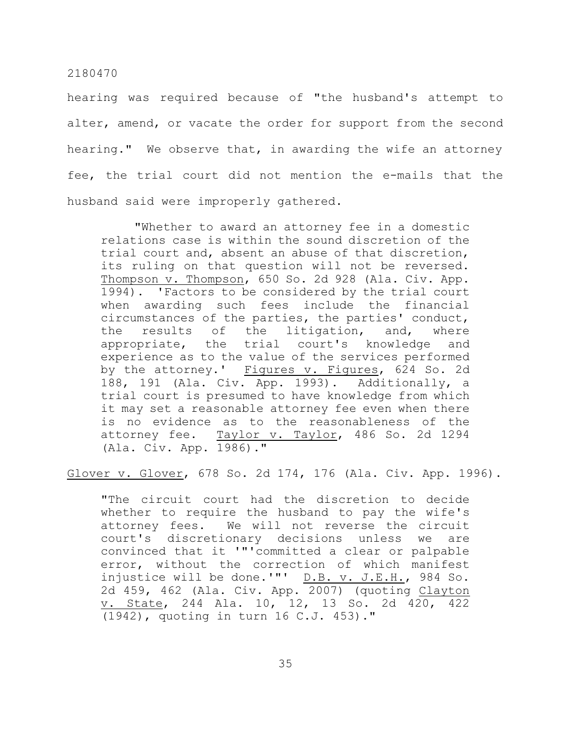hearing was required because of "the husband's attempt to alter, amend, or vacate the order for support from the second hearing." We observe that, in awarding the wife an attorney fee, the trial court did not mention the e-mails that the husband said were improperly gathered.

"Whether to award an attorney fee in a domestic relations case is within the sound discretion of the trial court and, absent an abuse of that discretion, its ruling on that question will not be reversed. Thompson v. Thompson, 650 So. 2d 928 (Ala. Civ. App. 1994). 'Factors to be considered by the trial court when awarding such fees include the financial circumstances of the parties, the parties' conduct, the results of the litigation, and, where appropriate, the trial court's knowledge and experience as to the value of the services performed by the attorney.' Figures v. Figures, 624 So. 2d 188, 191 (Ala. Civ. App. 1993). Additionally, a trial court is presumed to have knowledge from which it may set a reasonable attorney fee even when there is no evidence as to the reasonableness of the attorney fee. Taylor v. Taylor, 486 So. 2d 1294 (Ala. Civ. App. 1986)."

Glover v. Glover, 678 So. 2d 174, 176 (Ala. Civ. App. 1996).

"The circuit court had the discretion to decide whether to require the husband to pay the wife's attorney fees. We will not reverse the circuit court's discretionary decisions unless we are convinced that it '"'committed a clear or palpable error, without the correction of which manifest injustice will be done.'"' D.B. v. J.E.H., 984 So. 2d 459, 462 (Ala. Civ. App. 2007) (quoting Clayton v. State, 244 Ala. 10, 12, 13 So. 2d 420, 422 (1942), quoting in turn 16 C.J. 453)."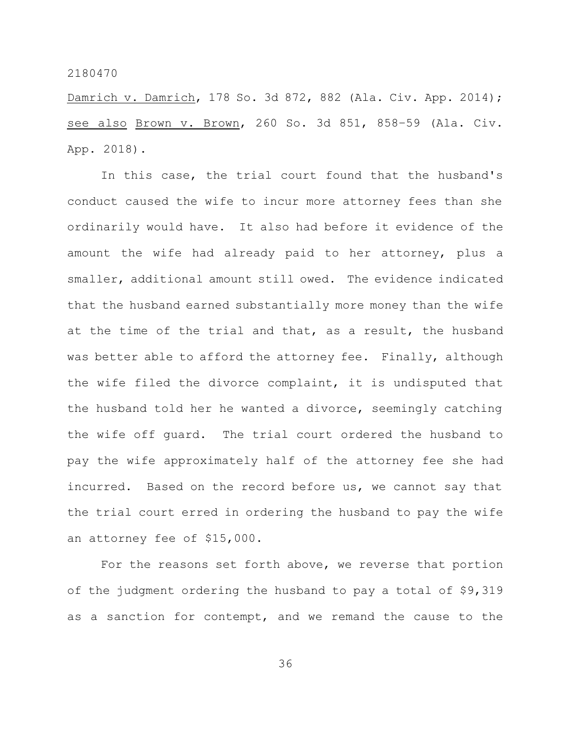Damrich v. Damrich, 178 So. 3d 872, 882 (Ala. Civ. App. 2014); see also Brown v. Brown, 260 So. 3d 851, 858–59 (Ala. Civ. App. 2018).

In this case, the trial court found that the husband's conduct caused the wife to incur more attorney fees than she ordinarily would have. It also had before it evidence of the amount the wife had already paid to her attorney, plus a smaller, additional amount still owed. The evidence indicated that the husband earned substantially more money than the wife at the time of the trial and that, as a result, the husband was better able to afford the attorney fee. Finally, although the wife filed the divorce complaint, it is undisputed that the husband told her he wanted a divorce, seemingly catching the wife off guard. The trial court ordered the husband to pay the wife approximately half of the attorney fee she had incurred. Based on the record before us, we cannot say that the trial court erred in ordering the husband to pay the wife an attorney fee of \$15,000.

For the reasons set forth above, we reverse that portion of the judgment ordering the husband to pay a total of \$9,319 as a sanction for contempt, and we remand the cause to the